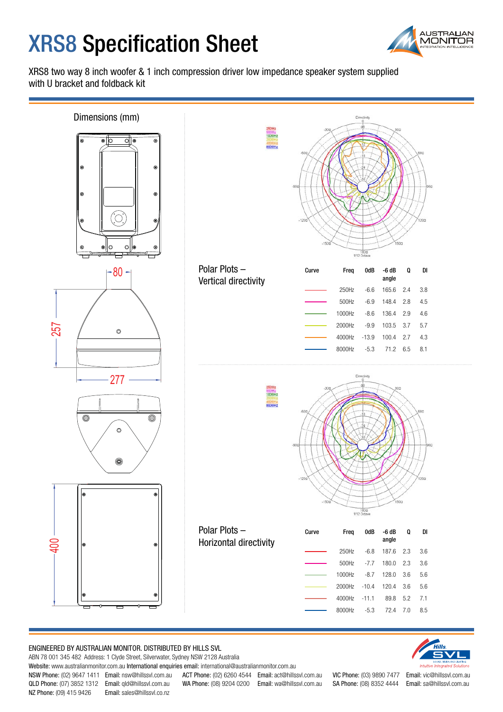# **XRS8 Specification Sheet**



XRS8 two way 8 inch woofer & 1 inch compression driver low impedance speaker system supplied with U bracket and foldback kit



#### ENGINEERED BY AUSTRALIAN MONITOR. DISTRIBUTED BY HILLS SVL

ABN 78 001 345 482 Address: 1 Clyde Street, Silverwater, Sydney NSW 2128 Australia

Website: www.australianmonitor.com.au International enquiries email: international@australianmonitor.com.au

NZ Phone: (09) 415 9426 Email: sales@hillssvl.co.nz

NSW Phone: (02) 9647 1411 Email: nsw@hillssvl.com.au ACT Phone: (02) 6260 4544 Email: act@hillssvl.com.au VIC Phone: (03) 9890 7477 Email: vic@hillssvl.com.au QLD Phone: (07) 3852 1312 Email: qld@hillssvl.com.au WA Phone: (08) 9204 0200 Email: wa@hillssvl.com.au SA Phone: (08) 8352 4444 Email: sa@hillssvl.com.au